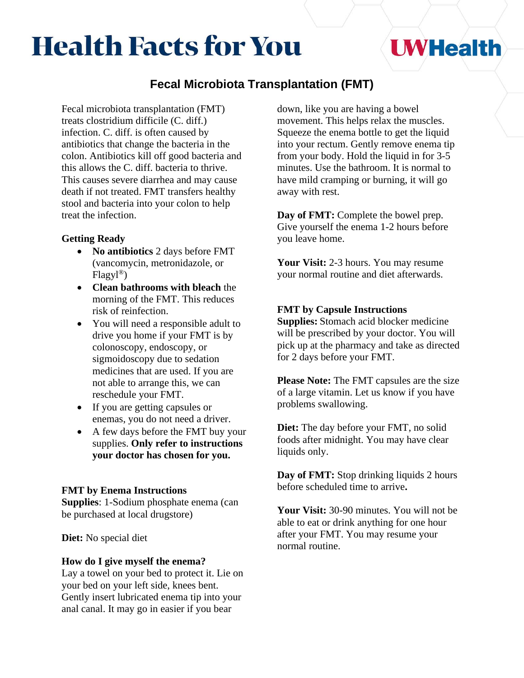# **Health Facts for You**

## **UWHealth**

### **Fecal Microbiota Transplantation (FMT)**

Fecal microbiota transplantation (FMT) treats clostridium difficile (C. diff.) infection. C. diff. is often caused by antibiotics that change the bacteria in the colon. Antibiotics kill off good bacteria and this allows the C. diff. bacteria to thrive. This causes severe diarrhea and may cause death if not treated. FMT transfers healthy stool and bacteria into your colon to help treat the infection.

#### **Getting Ready**

- **No antibiotics** 2 days before FMT (vancomycin, metronidazole, or  $Flagyl<sup>®</sup>$ )
- **Clean bathrooms with bleach** the morning of the FMT. This reduces risk of reinfection.
- You will need a responsible adult to drive you home if your FMT is by colonoscopy, endoscopy, or sigmoidoscopy due to sedation medicines that are used. If you are not able to arrange this, we can reschedule your FMT.
- If you are getting capsules or enemas, you do not need a driver.
- A few days before the FMT buy your supplies. **Only refer to instructions your doctor has chosen for you.**

#### **FMT by Enema Instructions**

**Supplies**: 1-Sodium phosphate enema (can be purchased at local drugstore)

**Diet:** No special diet

#### **How do I give myself the enema?**

Lay a towel on your bed to protect it. Lie on your bed on your left side, knees bent. Gently insert lubricated enema tip into your anal canal. It may go in easier if you bear

down, like you are having a bowel movement. This helps relax the muscles. Squeeze the enema bottle to get the liquid into your rectum. Gently remove enema tip from your body. Hold the liquid in for 3-5 minutes. Use the bathroom. It is normal to have mild cramping or burning, it will go away with rest.

**Day of FMT:** Complete the bowel prep. Give yourself the enema 1-2 hours before you leave home.

**Your Visit:** 2-3 hours. You may resume your normal routine and diet afterwards.

#### **FMT by Capsule Instructions**

**Supplies:** Stomach acid blocker medicine will be prescribed by your doctor. You will pick up at the pharmacy and take as directed for 2 days before your FMT.

**Please Note:** The FMT capsules are the size of a large vitamin. Let us know if you have problems swallowing.

**Diet:** The day before your FMT, no solid foods after midnight. You may have clear liquids only.

**Day of FMT:** Stop drinking liquids 2 hours before scheduled time to arrive**.**

**Your Visit:** 30-90 minutes. You will not be able to eat or drink anything for one hour after your FMT. You may resume your normal routine.